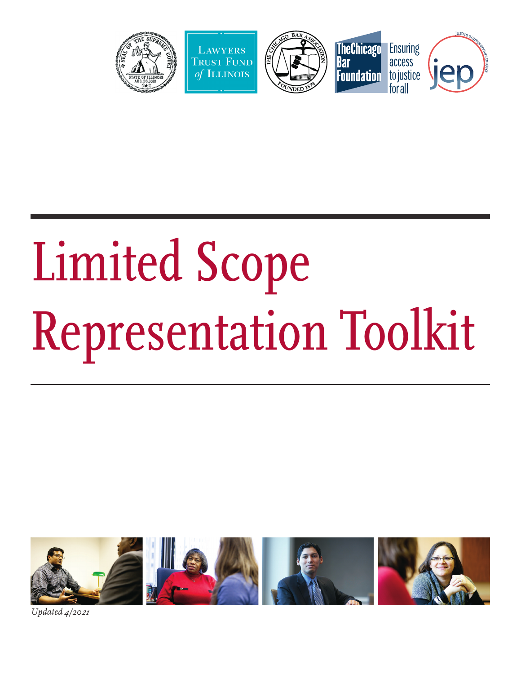

# Limited Scope Representation Toolkit



*Updated 4/20<sup>21</sup>*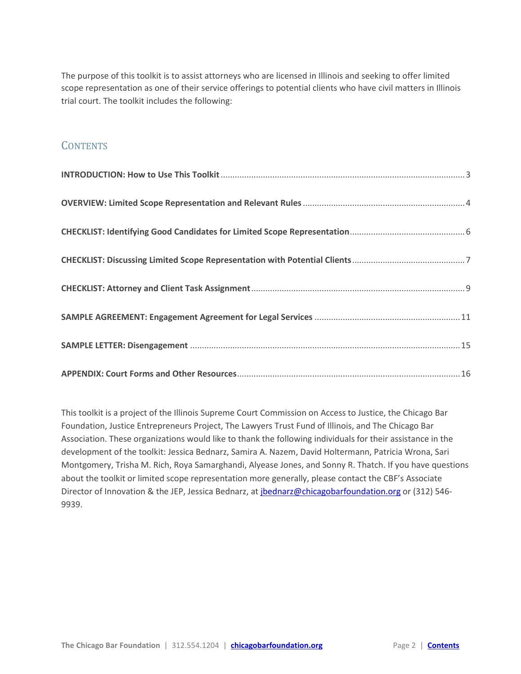<span id="page-1-0"></span>The purpose of this toolkit is to assist attorneys who are licensed in Illinois and seeking to offer limited scope representation as one of their service offerings to potential clients who have civil matters in Illinois trial court. The toolkit includes the following:

#### **CONTENTS**

This toolkit is a project of the Illinois Supreme Court Commission on Access to Justice, the Chicago Bar Foundation, Justice Entrepreneurs Project, The Lawyers Trust Fund of Illinois, and The Chicago Bar Association. These organizations would like to thank the following individuals for their assistance in the development of the toolkit: Jessica Bednarz, Samira A. Nazem, David Holtermann, Patricia Wrona, Sari Montgomery, Trisha M. Rich, Roya Samarghandi, Alyease Jones, and Sonny R. Thatch. If you have questions about the toolkit or limited scope representation more generally, please contact the CBF's Associate Director of Innovation & the JEP, Jessica Bednarz, at *jbednarz@chicagobarfoundation.org* or (312) 546-9939.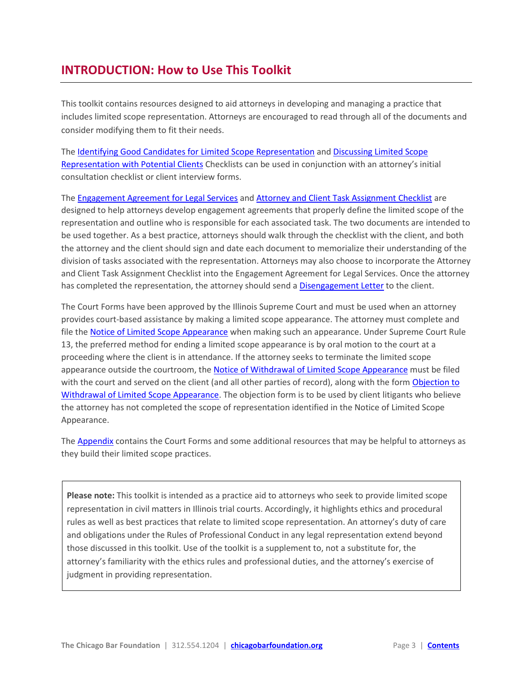# <span id="page-2-0"></span>**INTRODUCTION: How to Use This Toolkit**

This toolkit contains resources designed to aid attorneys in developing and managing a practice that includes limited scope representation. Attorneys are encouraged to read through all of the documents and consider modifying them to fit their needs.

The [Identifying Good Candidates for Limited Scope Representation](#page-5-0) an[d Discussing Limited Scope](#page-6-0)  [Representation with Potential Clients](#page-6-0) Checklists can be used in conjunction with an attorney's initial consultation checklist or client interview forms.

The [Engagement Agreement for Legal Services](#page-10-0) and [Attorney and Client Task Assignment Checklist](#page-8-0) are designed to help attorneys develop engagement agreements that properly define the limited scope of the representation and outline who is responsible for each associated task. The two documents are intended to be used together. As a best practice, attorneys should walk through the checklist with the client, and both the attorney and the client should sign and date each document to memorialize their understanding of the division of tasks associated with the representation. Attorneys may also choose to incorporate the Attorney and Client Task Assignment Checklist into the Engagement Agreement for Legal Services. Once the attorney has completed the representation, the attorney should send a [Disengagement Letter](#page-14-0) to the client.

The Court Forms have been approved by the Illinois Supreme Court and must be used when an attorney provides court-based assistance by making a limited scope appearance. The attorney must complete and file the [Notice of Limited Scope Appearance](http://www.illinoiscourts.gov/forms/approved/procedures/LS-N_2601.1_Approved.pdf) when making such an appearance. Under Supreme Court Rule 13, the preferred method for ending a limited scope appearance is by oral motion to the court at a proceeding where the client is in attendance. If the attorney seeks to terminate the limited scope appearance outside the courtroom, the [Notice of Withdrawal of Limited Scope Appearance](http://www.illinoiscourts.gov/Forms/approved/procedures/LS-W_2602.1_Approved.pdf) must be filed with the court and served on the client (and all other parties of record), along with the form Objection to [Withdrawal of Limited Scope Appearance.](http://www.illinoiscourts.gov/forms/approved/procedures/LS-O_2603.1_Approved.pdf) The objection form is to be used by client litigants who believe the attorney has not completed the scope of representation identified in the Notice of Limited Scope Appearance.

The [Appendix](#page-15-0) contains the Court Forms and some additional resources that may be helpful to attorneys as they build their limited scope practices.

**Please note:** This toolkit is intended as a practice aid to attorneys who seek to provide limited scope representation in civil matters in Illinois trial courts. Accordingly, it highlights ethics and procedural rules as well as best practices that relate to limited scope representation. An attorney's duty of care and obligations under the Rules of Professional Conduct in any legal representation extend beyond those discussed in this toolkit. Use of the toolkit is a supplement to, not a substitute for, the attorney's familiarity with the ethics rules and professional duties, and the attorney's exercise of judgment in providing representation.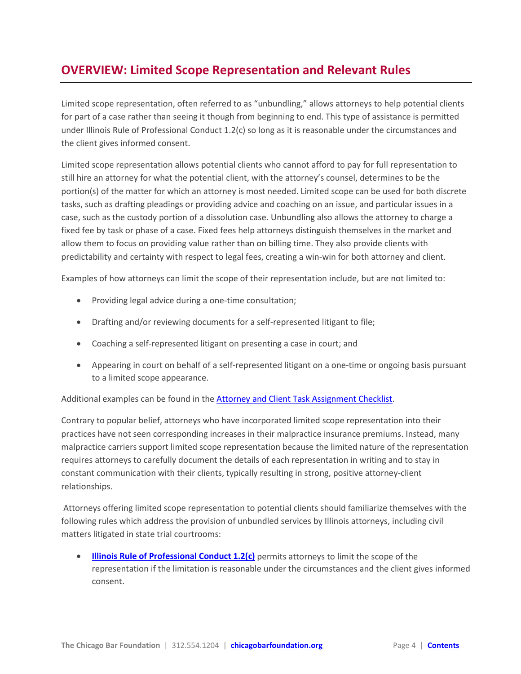# <span id="page-3-0"></span>**OVERVIEW: Limited Scope Representation and Relevant Rules**

Limited scope representation, often referred to as "unbundling," allows attorneys to help potential clients for part of a case rather than seeing it though from beginning to end. This type of assistance is permitted under Illinois Rule of Professional Conduct 1.2(c) so long as it is reasonable under the circumstances and the client gives informed consent.

Limited scope representation allows potential clients who cannot afford to pay for full representation to still hire an attorney for what the potential client, with the attorney's counsel, determines to be the portion(s) of the matter for which an attorney is most needed. Limited scope can be used for both discrete tasks, such as drafting pleadings or providing advice and coaching on an issue, and particular issues in a case, such as the custody portion of a dissolution case. Unbundling also allows the attorney to charge a fixed fee by task or phase of a case. Fixed fees help attorneys distinguish themselves in the market and allow them to focus on providing value rather than on billing time. They also provide clients with predictability and certainty with respect to legal fees, creating a win-win for both attorney and client.

Examples of how attorneys can limit the scope of their representation include, but are not limited to:

- Providing legal advice during a one-time consultation;
- Drafting and/or reviewing documents for a self-represented litigant to file;
- Coaching a self-represented litigant on presenting a case in court; and
- Appearing in court on behalf of a self-represented litigant on a one-time or ongoing basis pursuant to a limited scope appearance.

Additional examples can be found in th[e Attorney and Client Task Assignment Checklist.](#page-8-0)

Contrary to popular belief, attorneys who have incorporated limited scope representation into their practices have not seen corresponding increases in their malpractice insurance premiums. Instead, many malpractice carriers support limited scope representation because the limited nature of the representation requires attorneys to carefully document the details of each representation in writing and to stay in constant communication with their clients, typically resulting in strong, positive attorney-client relationships.

Attorneys offering limited scope representation to potential clients should familiarize themselves with the following rules which address the provision of unbundled services by Illinois attorneys, including civil matters litigated in state trial courtrooms:

**[Illinois Rule of Professional Conduct 1.2\(c\)](http://www.illinoiscourts.gov/SupremeCourt/Rules/Art_VIII/ArtVIII_NEW.htm)** permits attorneys to limit the scope of the representation if the limitation is reasonable under the circumstances and the client gives informed consent.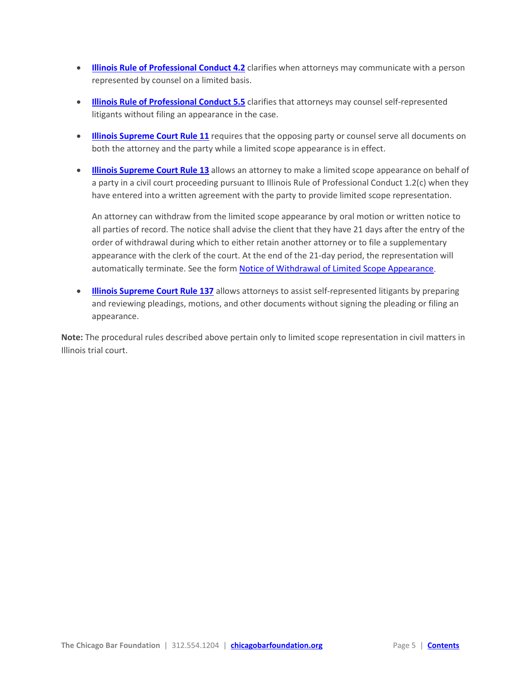- **[Illinois Rule of Professional Conduct 4.2](http://www.illinoiscourts.gov/SupremeCourt/Rules/Art_VIII/ArtVIII_NEW.htm)** clarifies when attorneys may communicate with a person represented by counsel on a limited basis.
- **[Illinois Rule of Professional Conduct 5.5](http://www.illinoiscourts.gov/SupremeCourt/Rules/Art_VIII/ArtVIII_NEW.htm)** clarifies that attorneys may counsel self-represented litigants without filing an appearance in the case.
- **[Illinois Supreme Court Rule 11](http://www.illinoiscourts.gov/SupremeCourt/Rules/Art_I/ArtI.htm#11)** requires that the opposing party or counsel serve all documents on both the attorney and the party while a limited scope appearance is in effect.
- **[Illinois Supreme Court Rule 13](http://www.illinoiscourts.gov/SupremeCourt/Rules/Art_I/ArtI.htm#13)** allows an attorney to make a limited scope appearance on behalf of a party in a civil court proceeding pursuant to Illinois Rule of Professional Conduct 1.2(c) when they have entered into a written agreement with the party to provide limited scope representation.

An attorney can withdraw from the limited scope appearance by oral motion or written notice to all parties of record. The notice shall advise the client that they have 21 days after the entry of the order of withdrawal during which to either retain another attorney or to file a supplementary appearance with the clerk of the court. At the end of the 21-day period, the representation will automatically terminate. See the form [Notice of Withdrawal of Limited Scope Appearance.](http://www.illinoiscourts.gov/Forms/approved/procedures/LS-W_2602.1_Approved.pdf)

• **[Illinois Supreme Court Rule 137](http://illinoiscourts.gov/SupremeCourt/Rules/Art_II/ArtII.htm#137)** allows attorneys to assist self-represented litigants by preparing and reviewing pleadings, motions, and other documents without signing the pleading or filing an appearance.

**Note:** The procedural rules described above pertain only to limited scope representation in civil matters in Illinois trial court.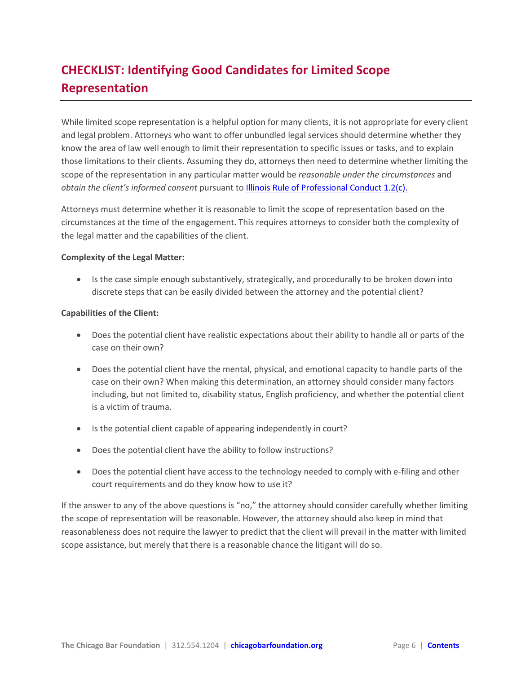# <span id="page-5-0"></span>**CHECKLIST: Identifying Good Candidates for Limited Scope Representation**

While limited scope representation is a helpful option for many clients, it is not appropriate for every client and legal problem. Attorneys who want to offer unbundled legal services should determine whether they know the area of law well enough to limit their representation to specific issues or tasks, and to explain those limitations to their clients. Assuming they do, attorneys then need to determine whether limiting the scope of the representation in any particular matter would be *reasonable under the circumstances* and *obtain the client's informed consent* pursuant to **Illinois Rule of Professional Conduct 1.2(c)**.

Attorneys must determine whether it is reasonable to limit the scope of representation based on the circumstances at the time of the engagement. This requires attorneys to consider both the complexity of the legal matter and the capabilities of the client.

#### **Complexity of the Legal Matter:**

• Is the case simple enough substantively, strategically, and procedurally to be broken down into discrete steps that can be easily divided between the attorney and the potential client?

#### **Capabilities of the Client:**

- Does the potential client have realistic expectations about their ability to handle all or parts of the case on their own?
- Does the potential client have the mental, physical, and emotional capacity to handle parts of the case on their own? When making this determination, an attorney should consider many factors including, but not limited to, disability status, English proficiency, and whether the potential client is a victim of trauma.
- Is the potential client capable of appearing independently in court?
- Does the potential client have the ability to follow instructions?
- Does the potential client have access to the technology needed to comply with e-filing and other court requirements and do they know how to use it?

If the answer to any of the above questions is "no," the attorney should consider carefully whether limiting the scope of representation will be reasonable. However, the attorney should also keep in mind that reasonableness does not require the lawyer to predict that the client will prevail in the matter with limited scope assistance, but merely that there is a reasonable chance the litigant will do so.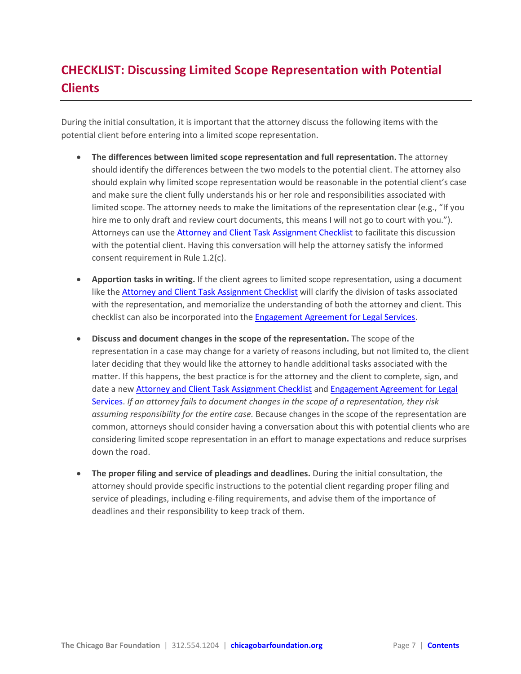# <span id="page-6-0"></span>**CHECKLIST: Discussing Limited Scope Representation with Potential Clients**

During the initial consultation, it is important that the attorney discuss the following items with the potential client before entering into a limited scope representation.

- **The differences between limited scope representation and full representation.** The attorney should identify the differences between the two models to the potential client. The attorney also should explain why limited scope representation would be reasonable in the potential client's case and make sure the client fully understands his or her role and responsibilities associated with limited scope. The attorney needs to make the limitations of the representation clear (e.g., "If you hire me to only draft and review court documents, this means I will not go to court with you."). Attorneys can use the [Attorney and Client Task Assignment Checklist](#page-8-0) to facilitate this discussion with the potential client. Having this conversation will help the attorney satisfy the informed consent requirement in Rule 1.2(c).
- **Apportion tasks in writing.** If the client agrees to limited scope representation, using a document like th[e Attorney and Client Task Assignment Checklist](#page-8-0) will clarify the division of tasks associated with the representation, and memorialize the understanding of both the attorney and client. This checklist can also be incorporated into the [Engagement Agreement for Legal Services.](#page-10-0)
- **Discuss and document changes in the scope of the representation.** The scope of the representation in a case may change for a variety of reasons including, but not limited to, the client later deciding that they would like the attorney to handle additional tasks associated with the matter. If this happens, the best practice is for the attorney and the client to complete, sign, and date a new [Attorney and Client Task Assignment Checklist](#page-8-0) an[d Engagement Agreement for Legal](#page-10-0)  [Services.](#page-10-0) *If an attorney fails to document changes in the scope of a representation, they risk assuming responsibility for the entire case.* Because changes in the scope of the representation are common, attorneys should consider having a conversation about this with potential clients who are considering limited scope representation in an effort to manage expectations and reduce surprises down the road.
- **The proper filing and service of pleadings and deadlines.** During the initial consultation, the attorney should provide specific instructions to the potential client regarding proper filing and service of pleadings, including e-filing requirements, and advise them of the importance of deadlines and their responsibility to keep track of them.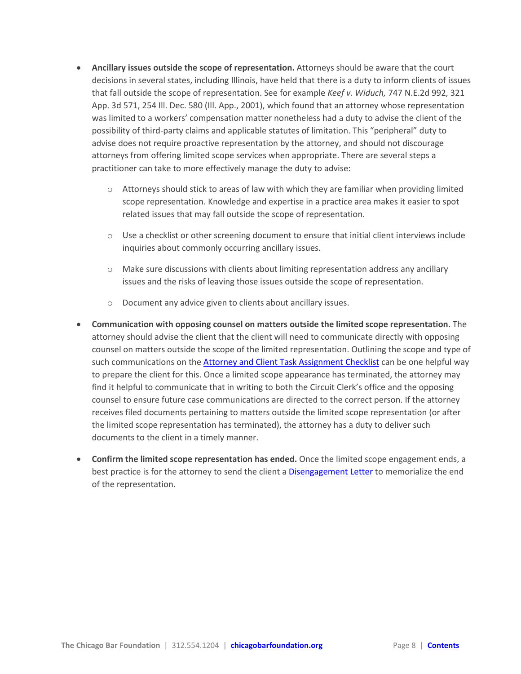- **Ancillary issues outside the scope of representation.** Attorneys should be aware that the court decisions in several states, including Illinois, have held that there is a duty to inform clients of issues that fall outside the scope of representation. See for example *Keef v. Widuch,* 747 N.E.2d 992, 321 App. 3d 571, 254 Ill. Dec. 580 (Ill. App., 2001), which found that an attorney whose representation was limited to a workers' compensation matter nonetheless had a duty to advise the client of the possibility of third-party claims and applicable statutes of limitation. This "peripheral" duty to advise does not require proactive representation by the attorney, and should not discourage attorneys from offering limited scope services when appropriate. There are several steps a practitioner can take to more effectively manage the duty to advise:
	- $\circ$  Attorneys should stick to areas of law with which they are familiar when providing limited scope representation. Knowledge and expertise in a practice area makes it easier to spot related issues that may fall outside the scope of representation.
	- $\circ$  Use a checklist or other screening document to ensure that initial client interviews include inquiries about commonly occurring ancillary issues.
	- $\circ$  Make sure discussions with clients about limiting representation address any ancillary issues and the risks of leaving those issues outside the scope of representation.
	- o Document any advice given to clients about ancillary issues.
- **Communication with opposing counsel on matters outside the limited scope representation.** The attorney should advise the client that the client will need to communicate directly with opposing counsel on matters outside the scope of the limited representation. Outlining the scope and type of such communications on the [Attorney and Client Task Assignment Checklist](#page-8-0) can be one helpful way to prepare the client for this. Once a limited scope appearance has terminated, the attorney may find it helpful to communicate that in writing to both the Circuit Clerk's office and the opposing counsel to ensure future case communications are directed to the correct person. If the attorney receives filed documents pertaining to matters outside the limited scope representation (or after the limited scope representation has terminated), the attorney has a duty to deliver such documents to the client in a timely manner.
- **Confirm the limited scope representation has ended.** Once the limited scope engagement ends, a best practice is for the attorney to send the client a [Disengagement Letter](#page-14-0) to memorialize the end of the representation.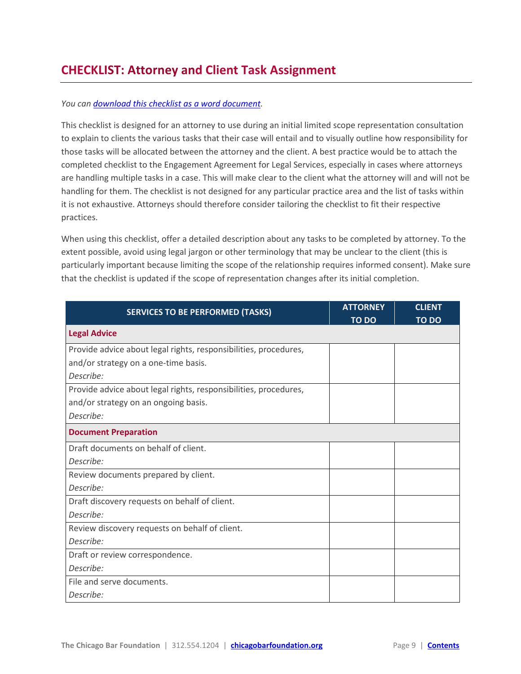## <span id="page-8-0"></span>**CHECKLIST: Attorney and Client Task Assignment**

#### *You ca[n download this checklist as a word document.](https://chicagobarfoundation.box.com/s/u7is8yg7w9md5nw3c1ucfl86ozbgmjrl)*

This checklist is designed for an attorney to use during an initial limited scope representation consultation to explain to clients the various tasks that their case will entail and to visually outline how responsibility for those tasks will be allocated between the attorney and the client. A best practice would be to attach the completed checklist to the Engagement Agreement for Legal Services, especially in cases where attorneys are handling multiple tasks in a case. This will make clear to the client what the attorney will and will not be handling for them. The checklist is not designed for any particular practice area and the list of tasks within it is not exhaustive. Attorneys should therefore consider tailoring the checklist to fit their respective practices.

When using this checklist, offer a detailed description about any tasks to be completed by attorney. To the extent possible, avoid using legal jargon or other terminology that may be unclear to the client (this is particularly important because limiting the scope of the relationship requires informed consent). Make sure that the checklist is updated if the scope of representation changes after its initial completion.

| <b>SERVICES TO BE PERFORMED (TASKS)</b>                          | <b>ATTORNEY</b> | <b>CLIENT</b> |
|------------------------------------------------------------------|-----------------|---------------|
|                                                                  | <b>TO DO</b>    | <b>TO DO</b>  |
| <b>Legal Advice</b>                                              |                 |               |
| Provide advice about legal rights, responsibilities, procedures, |                 |               |
| and/or strategy on a one-time basis.                             |                 |               |
| Describe:                                                        |                 |               |
| Provide advice about legal rights, responsibilities, procedures, |                 |               |
| and/or strategy on an ongoing basis.                             |                 |               |
| Describe:                                                        |                 |               |
| <b>Document Preparation</b>                                      |                 |               |
| Draft documents on behalf of client.                             |                 |               |
| Describe:                                                        |                 |               |
| Review documents prepared by client.                             |                 |               |
| Describe:                                                        |                 |               |
| Draft discovery requests on behalf of client.                    |                 |               |
| Describe:                                                        |                 |               |
| Review discovery requests on behalf of client.                   |                 |               |
| Describe:                                                        |                 |               |
| Draft or review correspondence.                                  |                 |               |
| Describe:                                                        |                 |               |
| File and serve documents.                                        |                 |               |
| Describe:                                                        |                 |               |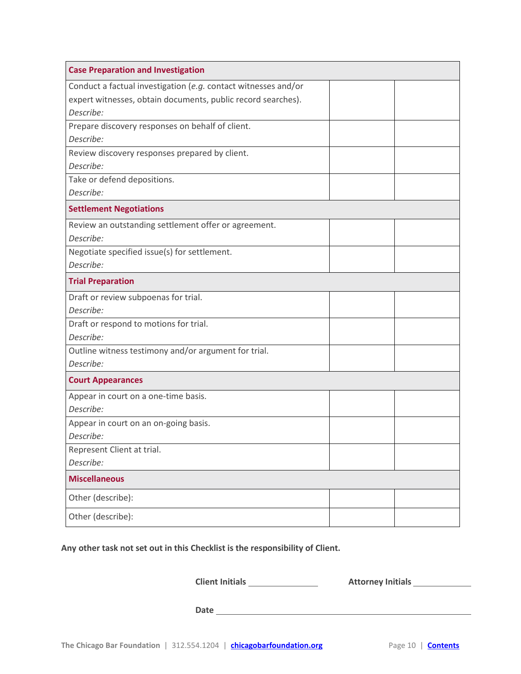| <b>Case Preparation and Investigation</b>                      |  |
|----------------------------------------------------------------|--|
| Conduct a factual investigation (e.g. contact witnesses and/or |  |
| expert witnesses, obtain documents, public record searches).   |  |
| Describe:                                                      |  |
| Prepare discovery responses on behalf of client.               |  |
| Describe:                                                      |  |
| Review discovery responses prepared by client.                 |  |
| Describe:                                                      |  |
| Take or defend depositions.                                    |  |
| Describe:                                                      |  |
| <b>Settlement Negotiations</b>                                 |  |
| Review an outstanding settlement offer or agreement.           |  |
| Describe:                                                      |  |
| Negotiate specified issue(s) for settlement.                   |  |
| Describe:                                                      |  |
| <b>Trial Preparation</b>                                       |  |
| Draft or review subpoenas for trial.                           |  |
| Describe:                                                      |  |
| Draft or respond to motions for trial.                         |  |
| Describe:                                                      |  |
| Outline witness testimony and/or argument for trial.           |  |
| Describe:                                                      |  |
| <b>Court Appearances</b>                                       |  |
| Appear in court on a one-time basis.                           |  |
| Describe:                                                      |  |
| Appear in court on an on-going basis.                          |  |
| Describe:                                                      |  |
| Represent Client at trial.                                     |  |
| Describe:                                                      |  |
| <b>Miscellaneous</b>                                           |  |
| Other (describe):                                              |  |
| Other (describe):                                              |  |

**Any other task not set out in this Checklist is the responsibility of Client.** 

**Client Initials Attorney Initials** 

**Date**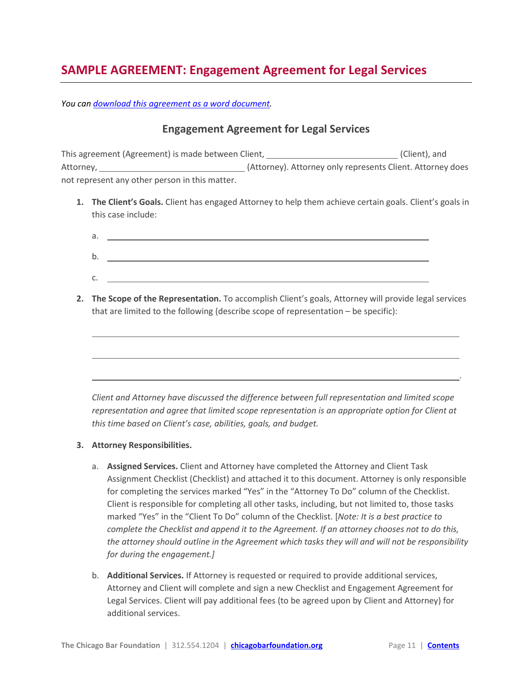# <span id="page-10-0"></span>**SAMPLE AGREEMENT: Engagement Agreement for Legal Services**

*You ca[n download this agreement as a word document.](https://chicagobarfoundation.box.com/s/8gmn7ljnxqs9j8ijdah4gfqol5sw2kq3)*

#### **Engagement Agreement for Legal Services**

This agreement (Agreement) is made between Client, \_\_\_\_\_\_\_\_\_\_\_\_\_\_\_\_\_\_\_\_\_\_\_\_\_\_\_\_\_(Client), and Attorney, (Attorney). Attorney only represents Client. Attorney does not represent any other person in this matter.

**1. The Client's Goals.** Client has engaged Attorney to help them achieve certain goals. Client's goals in this case include:

| а.      |  |
|---------|--|
| b       |  |
| ⌒<br>J. |  |

**2. The Scope of the Representation.** To accomplish Client's goals, Attorney will provide legal services that are limited to the following (describe scope of representation – be specific):



#### **3. Attorney Responsibilities.**

- a. **Assigned Services.** Client and Attorney have completed the Attorney and Client Task Assignment Checklist (Checklist) and attached it to this document. Attorney is only responsible for completing the services marked "Yes" in the "Attorney To Do" column of the Checklist. Client is responsible for completing all other tasks, including, but not limited to, those tasks marked "Yes" in the "Client To Do" column of the Checklist. [*Note: It is a best practice to complete the Checklist and append it to the Agreement. If an attorney chooses not to do this, the attorney should outline in the Agreement which tasks they will and will not be responsibility for during the engagement.]*
- b. **Additional Services.** If Attorney is requested or required to provide additional services, Attorney and Client will complete and sign a new Checklist and Engagement Agreement for Legal Services. Client will pay additional fees (to be agreed upon by Client and Attorney) for additional services.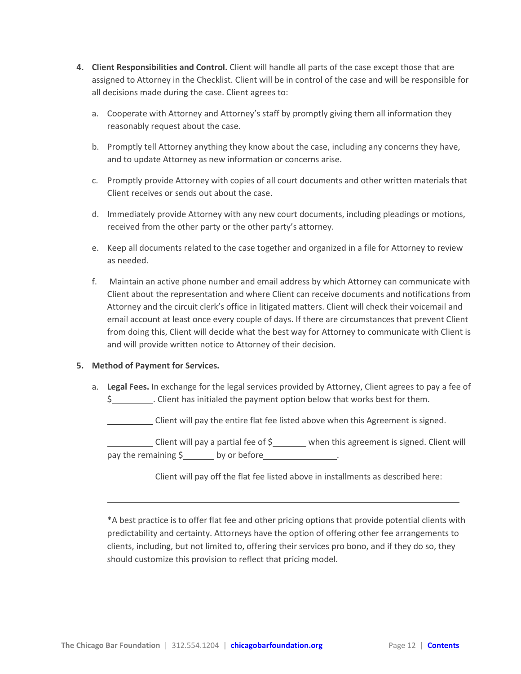- **4. Client Responsibilities and Control.** Client will handle all parts of the case except those that are assigned to Attorney in the Checklist. Client will be in control of the case and will be responsible for all decisions made during the case. Client agrees to:
	- a. Cooperate with Attorney and Attorney's staff by promptly giving them all information they reasonably request about the case.
	- b. Promptly tell Attorney anything they know about the case, including any concerns they have, and to update Attorney as new information or concerns arise.
	- c. Promptly provide Attorney with copies of all court documents and other written materials that Client receives or sends out about the case.
	- d. Immediately provide Attorney with any new court documents, including pleadings or motions, received from the other party or the other party's attorney.
	- e. Keep all documents related to the case together and organized in a file for Attorney to review as needed.
	- f. Maintain an active phone number and email address by which Attorney can communicate with Client about the representation and where Client can receive documents and notifications from Attorney and the circuit clerk's office in litigated matters. Client will check their voicemail and email account at least once every couple of days. If there are circumstances that prevent Client from doing this, Client will decide what the best way for Attorney to communicate with Client is and will provide written notice to Attorney of their decision.

#### **5. Method of Payment for Services.**

a. **Legal Fees.** In exchange for the legal services provided by Attorney, Client agrees to pay a fee of \$ . Client has initialed the payment option below that works best for them.

Client will pay the entire flat fee listed above when this Agreement is signed.

Client will pay a partial fee of \$\_\_\_\_\_\_ when this agreement is signed. Client will pay the remaining  $\sinh(1)$  by or before

Client will pay off the flat fee listed above in installments as described here:

\*A best practice is to offer flat fee and other pricing options that provide potential clients with predictability and certainty. Attorneys have the option of offering other fee arrangements to clients, including, but not limited to, offering their services pro bono, and if they do so, they should customize this provision to reflect that pricing model.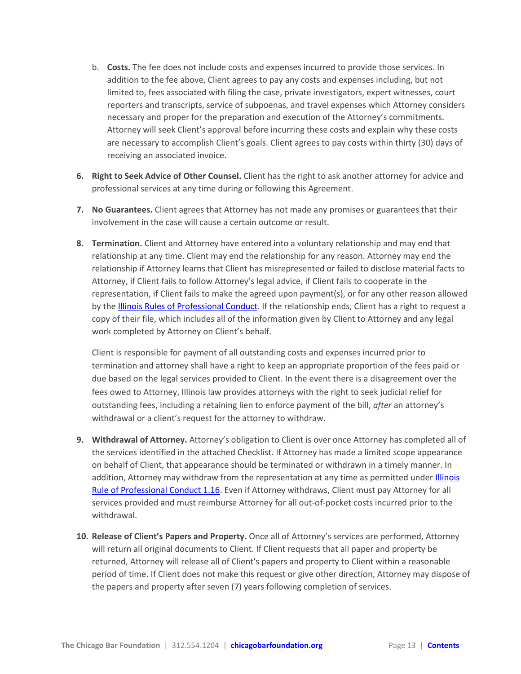- b. **Costs.** The fee does not include costs and expenses incurred to provide those services. In addition to the fee above, Client agrees to pay any costs and expenses including, but not limited to, fees associated with filing the case, private investigators, expert witnesses, court reporters and transcripts, service of subpoenas, and travel expenses which Attorney considers necessary and proper for the preparation and execution of the Attorney's commitments. Attorney will seek Client's approval before incurring these costs and explain why these costs are necessary to accomplish Client's goals. Client agrees to pay costs within thirty (30) days of receiving an associated invoice.
- **6. Right to Seek Advice of Other Counsel.** Client has the right to ask another attorney for advice and professional services at any time during or following this Agreement.
- **7. No Guarantees.** Client agrees that Attorney has not made any promises or guarantees that their involvement in the case will cause a certain outcome or result.
- **8. Termination.** Client and Attorney have entered into a voluntary relationship and may end that relationship at any time. Client may end the relationship for any reason. Attorney may end the relationship if Attorney learns that Client has misrepresented or failed to disclose material facts to Attorney, if Client fails to follow Attorney's legal advice, if Client fails to cooperate in the representation, if Client fails to make the agreed upon payment(s), or for any other reason allowed by th[e Illinois Rules of Professional Conduct.](http://www.illinoiscourts.gov/SupremeCourt/Rules/Art_VIII/default_NEW.asp) If the relationship ends, Client has a right to request a copy of their file, which includes all of the information given by Client to Attorney and any legal work completed by Attorney on Client's behalf.

Client is responsible for payment of all outstanding costs and expenses incurred prior to termination and attorney shall have a right to keep an appropriate proportion of the fees paid or due based on the legal services provided to Client. In the event there is a disagreement over the fees owed to Attorney, Illinois law provides attorneys with the right to seek judicial relief for outstanding fees, including a retaining lien to enforce payment of the bill, *after* an attorney's withdrawal or a client's request for the attorney to withdraw.

- **9. Withdrawal of Attorney.** Attorney's obligation to Client is over once Attorney has completed all of the services identified in the attached Checklist. If Attorney has made a limited scope appearance on behalf of Client, that appearance should be terminated or withdrawn in a timely manner. In addition, Attorney may withdraw from the representation at any time as permitted under *Illinois* [Rule of Professional Conduct](http://www.illinoiscourts.gov/SupremeCourt/Rules/Art_VIII/ArtVIII_NEW.htm#1.16) 1.16. Even if Attorney withdraws, Client must pay Attorney for all services provided and must reimburse Attorney for all out-of-pocket costs incurred prior to the withdrawal.
- **10. Release of Client's Papers and Property.** Once all of Attorney's services are performed, Attorney will return all original documents to Client. If Client requests that all paper and property be returned, Attorney will release all of Client's papers and property to Client within a reasonable period of time. If Client does not make this request or give other direction, Attorney may dispose of the papers and property after seven (7) years following completion of services.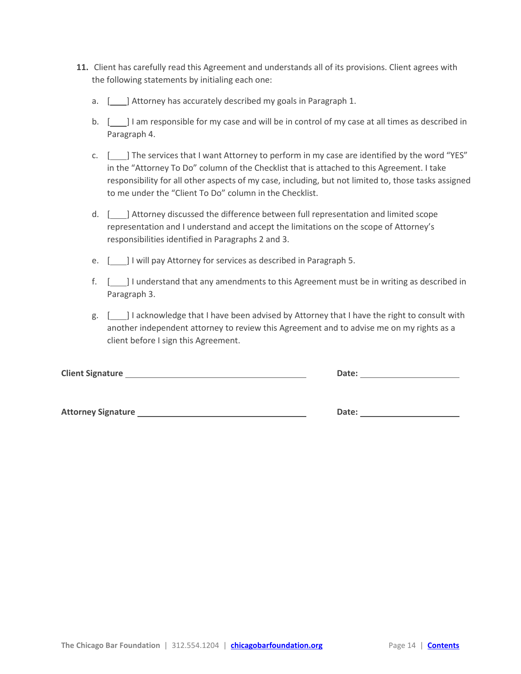- **11.** Client has carefully read this Agreement and understands all of its provisions. Client agrees with the following statements by initialing each one:
	- a. [  $\Box$ ] Attorney has accurately described my goals in Paragraph 1.
	- b. [100] I am responsible for my case and will be in control of my case at all times as described in Paragraph 4.
	- c. [ ] The services that I want Attorney to perform in my case are identified by the word "YES" in the "Attorney To Do" column of the Checklist that is attached to this Agreement. I take responsibility for all other aspects of my case, including, but not limited to, those tasks assigned to me under the "Client To Do" column in the Checklist.
	- d. [ ] Attorney discussed the difference between full representation and limited scope representation and I understand and accept the limitations on the scope of Attorney's responsibilities identified in Paragraphs 2 and 3.
	- e. [18] I will pay Attorney for services as described in Paragraph 5.
	- f. [  $\Box$ ] I understand that any amendments to this Agreement must be in writing as described in Paragraph 3.
	- g. [ ] I acknowledge that I have been advised by Attorney that I have the right to consult with another independent attorney to review this Agreement and to advise me on my rights as a client before I sign this Agreement.

| <b>Client Signature</b>   | Date: |
|---------------------------|-------|
|                           |       |
| <b>Attorney Signature</b> | Date: |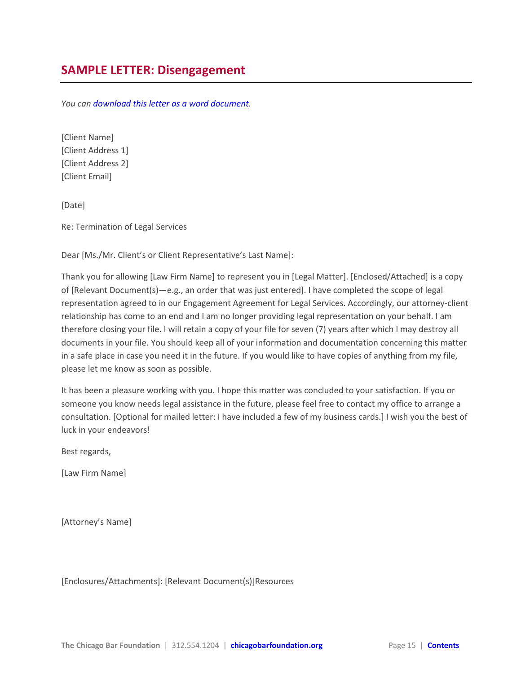<span id="page-14-0"></span>*You ca[n download this letter as a word document.](https://chicagobarfoundation.box.com/s/ajqc2uv32au7ed7jpamixxdh9g0tp435)*

[Client Name] [Client Address 1] [Client Address 2] [Client Email]

[Date]

Re: Termination of Legal Services

Dear [Ms./Mr. Client's or Client Representative's Last Name]:

Thank you for allowing [Law Firm Name] to represent you in [Legal Matter]. [Enclosed/Attached] is a copy of [Relevant Document(s)—e.g., an order that was just entered]. I have completed the scope of legal representation agreed to in our Engagement Agreement for Legal Services. Accordingly, our attorney-client relationship has come to an end and I am no longer providing legal representation on your behalf. I am therefore closing your file. I will retain a copy of your file for seven (7) years after which I may destroy all documents in your file. You should keep all of your information and documentation concerning this matter in a safe place in case you need it in the future. If you would like to have copies of anything from my file, please let me know as soon as possible.

It has been a pleasure working with you. I hope this matter was concluded to your satisfaction. If you or someone you know needs legal assistance in the future, please feel free to contact my office to arrange a consultation. [Optional for mailed letter: I have included a few of my business cards.] I wish you the best of luck in your endeavors!

Best regards,

[Law Firm Name]

[Attorney's Name]

[Enclosures/Attachments]: [Relevant Document(s)]Resources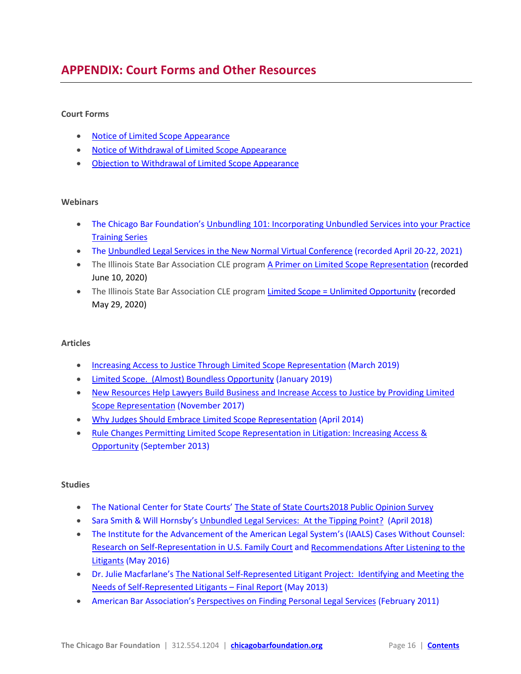# <span id="page-15-0"></span>**APPENDIX: Court Forms and Other Resources**

#### **Court Forms**

- [Notice of Limited Scope Appearance](http://www.illinoiscourts.gov/Forms/approved/procedures/Limited_Scope_Notice_Approved.pdf)
- [Notice of Withdrawal of Limited Scope Appearance](http://www.illinoiscourts.gov/Forms/approved/procedures/Limited_Scope_Notice_Withdrawal_Approved.pdf)
- [Objection to Withdrawal of Limited Scope Appearance](http://www.illinoiscourts.gov/Forms/approved/procedures/Limited_Scope_Objection_Withdrawal_Approved.pdf)

#### **Webinars**

- The Chicago Bar Foundation's Unbundling 101: Incorporating Unbundled Services into your Practice [Training Series](https://chicagobarfoundation.org/resources/practice/limited-scope-representation-practice-resources/)
- The [Unbundled Legal Services in the New Normal Virtual Conference](https://iaals.du.edu/events/unbundled-legal-services-new-normal) (recorded April 20-22, 2021)
- The Illinois State Bar Association CLE progra[m A Primer on Limited Scope Representation](https://www.isba.org/cle/path?pathPage=%2Fisba%2Fcourses%2F23189) (recorded June 10, 2020)
- The Illinois State Bar Association CLE progra[m Limited Scope = Unlimited Opportunity](https://www.isba.org/cle/path?pathPage=%2Fisba%2Fcourses%2F23061) (recorded May 29, 2020)

#### **Articles**

- [Increasing Access to Justice Through Limited Scope Representation](http://illinoiscourts.gov/Media/enews/2019/032619_limited_scope.asp) (March 2019)
- [Limited Scope. \(Almost\) Boundless Opportunity](https://www.americanbar.org/groups/gpsolo/publications/gp_solo/2019/january-february/limited-scope-almost-boundless-opportunity/) (January 2019)
- [New Resources Help Lawyers Build Business and Increase Access to Justice by Providing Limited](https://cld.bz/bookdata/sMDadso/basic-html/page-18.html)  [Scope Representation](https://cld.bz/bookdata/sMDadso/basic-html/page-18.html) (November 2017)
- [Why Judges Should Embrace Limited Scope Representation](http://chicagobarfoundation.org/pdf/resources/limited-scope-representation/why-judges-embrace-limited-scope.pdf) (April 2014)
- [Rule Changes Permitting Limited Scope Representation in Litigation: Increasing Access &](http://chicagobarfoundation.org/pdf/resources/limited-scope-representation/rule-changes-permitting-limited-scope-litigation.pdf)  [Opportunity](http://chicagobarfoundation.org/pdf/resources/limited-scope-representation/rule-changes-permitting-limited-scope-litigation.pdf) (September 2013)

#### **Studies**

- The National Center for State Courts' [The State of State Courts2018 Public Opinion Survey](https://www.ncsc.org/topics/court-community/public-trust-and-confidence/resource-guide/2018-state-of-state-courts-survey)
- Sara Smith & Will Hornsby's [Unbundled Legal Services: At the Tipping Point?](https://www.americanbar.org/content/dam/aba/administrative/delivery_legal_services/ls_del_unbundling_tipping_point_article.authcheckdam.pdf) (April 2018)
- The Institute for the Advancement of the American Legal System's (IAALS) Cases Without Counsel: [Research on Self-Representation in U.S. Family Court](http://iaals.du.edu/sites/default/files/documents/publications/cases_without_counsel_research_report.pdf) an[d Recommendations After Listening to the](http://iaals.du.edu/sites/default/files/documents/publications/cases_without_counsel_recommendations_report.pdf)  [Litigants](http://iaals.du.edu/sites/default/files/documents/publications/cases_without_counsel_recommendations_report.pdf) (May 2016)
- Dr. Julie Macfarlane'[s The National Self-Represented Litigant Project: Identifying and Meeting the](https://representingyourselfcanada.com/wp-content/uploads/2015/07/nsrlp-srl-research-study-final-report.pdf)  [Needs of Self-Represented Litigants –](https://representingyourselfcanada.com/wp-content/uploads/2015/07/nsrlp-srl-research-study-final-report.pdf) Final Report (May 2013)
- American Bar Association's [Perspectives on Finding Personal Legal Services](https://www.americanbar.org/content/dam/aba/administrative/delivery_legal_services/20110228_aba_harris_survey_report.authcheckdam.pdf) (February 2011)